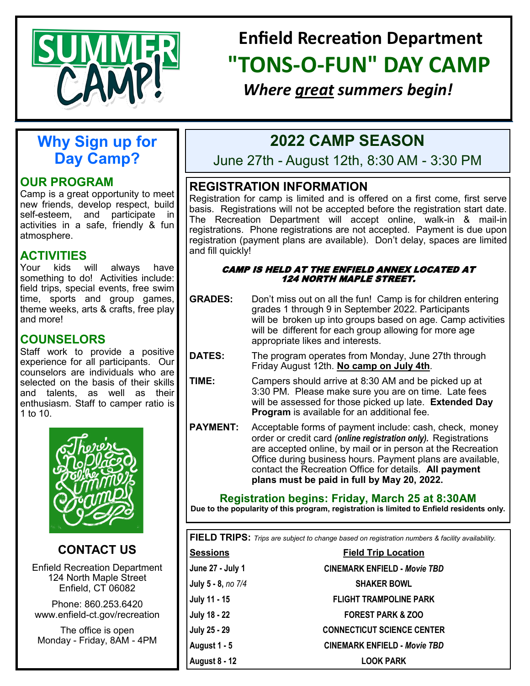

# **Enfield Recreation Department "TONS-O-FUN" DAY CAMP**

*Where great summers begin!*

## **Why Sign up for Day Camp?**

## **OUR PROGRAM**

Camp is a great opportunity to meet new friends, develop respect, build self-esteem, and participate in activities in a safe, friendly & fun atmosphere.

## **ACTIVITIES**

Your kids will always have something to do! Activities include: field trips, special events, free swim time, sports and group games, theme weeks, arts & crafts, free play and more!

## **COUNSELORS**

Staff work to provide a positive experience for all participants. Our counselors are individuals who are selected on the basis of their skills and talents, as well as their enthusiasm. Staff to camper ratio is 1 to 10.



**CONTACT US**

Enfield Recreation Department 124 North Maple Street Enfield, CT 06082

Phone: 860.253.6420 www.enfield-ct.gov/recreation

The office is open Monday - Friday, 8AM - 4PM

## **2022 CAMP SEASON**

June 27th - August 12th, 8:30 AM - 3:30 PM

## **REGISTRATION INFORMATION**

Registration for camp is limited and is offered on a first come, first serve basis. Registrations will not be accepted before the registration start date. The Recreation Department will accept online, walk-in & mail-in registrations. Phone registrations are not accepted. Payment is due upon registration (payment plans are available). Don't delay, spaces are limited and fill quickly!

#### CAMP IS HELD AT THE ENFIELD ANNEX LOCATED AT 124 NORTH MAPLE STREET.

- **GRADES:** Don't miss out on all the fun! Camp is for children entering grades 1 through 9 in September 2022. Participants will be broken up into groups based on age. Camp activities will be different for each group allowing for more age appropriate likes and interests.
- **DATES:** The program operates from Monday, June 27th through Friday August 12th. **No camp on July 4th***.*
- **TIME:** Campers should arrive at 8:30 AM and be picked up at 3:30 PM. Please make sure you are on time. Late fees will be assessed for those picked up late. **Extended Day Program** is available for an additional fee.
- **PAYMENT:** Acceptable forms of payment include: cash, check, money order or credit card *(online registration only).* Registrations are accepted online, by mail or in person at the Recreation Office during business hours. Payment plans are available, contact the Recreation Office for details. **All payment plans must be paid in full by May 20, 2022.**

## **Registration begins: Friday, March 25 at 8:30AM**

**Due to the popularity of this program, registration is limited to Enfield residents only.**

**FIELD TRIPS:** *Trips are subject to change based on registration numbers & facility availability.* 

| <b>Sessions</b>      | <b>Field Trip Location</b>          |  |  |  |  |
|----------------------|-------------------------------------|--|--|--|--|
| June 27 - July 1     | <b>CINEMARK ENFIELD - Movie TBD</b> |  |  |  |  |
| July 5 - 8, no 7/4   | <b>SHAKER BOWL</b>                  |  |  |  |  |
| July 11 - 15         | <b>FLIGHT TRAMPOLINE PARK</b>       |  |  |  |  |
| July 18 - 22         | <b>FOREST PARK &amp; ZOO</b>        |  |  |  |  |
| July 25 - 29         | <b>CONNECTICUT SCIENCE CENTER</b>   |  |  |  |  |
| August 1 - 5         | <b>CINEMARK ENFIELD - Movie TBD</b> |  |  |  |  |
| <b>August 8 - 12</b> | <b>LOOK PARK</b>                    |  |  |  |  |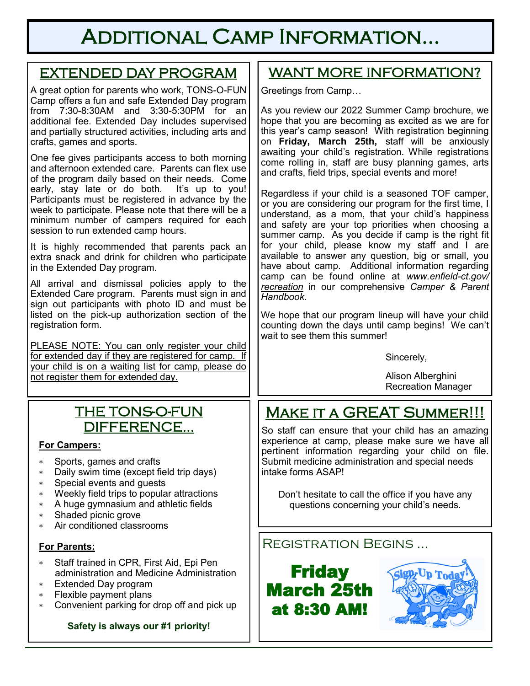# Additional Camp Information...

## EXTENDED DAY PROGRAM

A great option for parents who work, TONS-O-FUN Camp offers a fun and safe Extended Day program from 7:30-8:30AM and 3:30-5:30PM for an additional fee. Extended Day includes supervised and partially structured activities, including arts and crafts, games and sports.

One fee gives participants access to both morning and afternoon extended care. Parents can flex use of the program daily based on their needs. Come early, stay late or do both. It's up to you! Participants must be registered in advance by the week to participate. Please note that there will be a minimum number of campers required for each session to run extended camp hours.

It is highly recommended that parents pack an extra snack and drink for children who participate in the Extended Day program.

All arrival and dismissal policies apply to the Extended Care program. Parents must sign in and sign out participants with photo ID and must be listed on the pick-up authorization section of the registration form.

PLEASE NOTE: You can only register your child for extended day if they are registered for camp. If your child is on a waiting list for camp, please do not register them for extended day.

## THE TONS-O-FUN DIFFERENCE...

### **For Campers:**

- Sports, games and crafts
- Daily swim time (except field trip days)
- Special events and guests
- Weekly field trips to popular attractions
- A huge gymnasium and athletic fields
- Shaded picnic grove
- Air conditioned classrooms

## **For Parents:**

- Staff trained in CPR, First Aid, Epi Pen administration and Medicine Administration
- Extended Day program
- Flexible payment plans
- Convenient parking for drop off and pick up

### **Safety is always our #1 priority!**

## WANT MORE INFORMATION?

Greetings from Camp…

As you review our 2022 Summer Camp brochure, we hope that you are becoming as excited as we are for this year's camp season! With registration beginning on **Friday, March 25th,** staff will be anxiously awaiting your child's registration. While registrations come rolling in, staff are busy planning games, arts and crafts, field trips, special events and more!

Regardless if your child is a seasoned TOF camper, or you are considering our program for the first time, I understand, as a mom, that your child's happiness and safety are your top priorities when choosing a summer camp. As you decide if camp is the right fit for your child, please know my staff and I are available to answer any question, big or small, you have about camp. Additional information regarding camp can be found online at *www.enfield-ct.gov/ recreation* in our comprehensive *Camper & Parent Handbook.*

We hope that our program lineup will have your child counting down the days until camp begins! We can't wait to see them this summer!

Sincerely,

Alison Alberghini Recreation Manager

# MAKE IT A GREAT SUMMER!!!

So staff can ensure that your child has an amazing experience at camp, please make sure we have all pertinent information regarding your child on file. Submit medicine administration and special needs intake forms ASAP!

Don't hesitate to call the office if you have any questions concerning your child's needs.

Registration Begins …



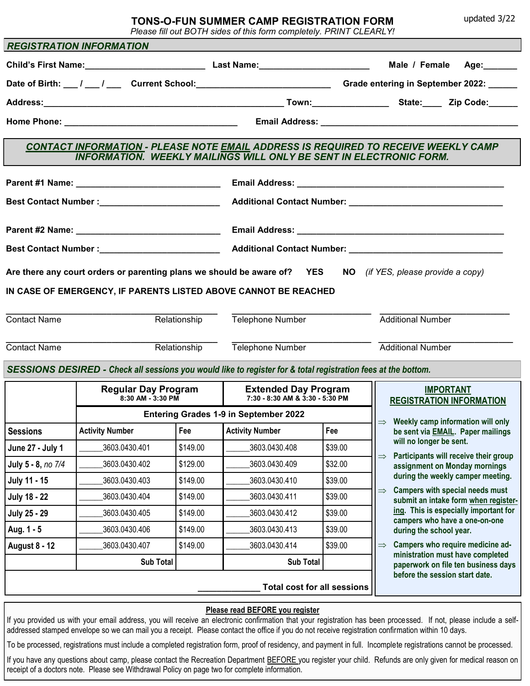updated 3/22

#### **TONS-O-FUN SUMMER CAMP REGISTRATION FORM**

*Please fill out BOTH sides of this form completely. PRINT CLEARLY!*

|                                                                                                                                                                        | <b>REGISTRATION INFORMATION</b>                     |          |                                                                                                               |                                    |                                                                                                             |  |  |  |  |
|------------------------------------------------------------------------------------------------------------------------------------------------------------------------|-----------------------------------------------------|----------|---------------------------------------------------------------------------------------------------------------|------------------------------------|-------------------------------------------------------------------------------------------------------------|--|--|--|--|
|                                                                                                                                                                        |                                                     |          |                                                                                                               |                                    | Male / Female Age:                                                                                          |  |  |  |  |
|                                                                                                                                                                        |                                                     |          |                                                                                                               |                                    |                                                                                                             |  |  |  |  |
|                                                                                                                                                                        |                                                     |          |                                                                                                               |                                    |                                                                                                             |  |  |  |  |
|                                                                                                                                                                        |                                                     |          |                                                                                                               |                                    |                                                                                                             |  |  |  |  |
| <b>CONTACT INFORMATION - PLEASE NOTE EMAIL ADDRESS IS REQUIRED TO RECEIVE WEEKLY CAMP</b><br><b>INFORMATION. WEEKLY MAILINGS WILL ONLY BE SENT IN ELECTRONIC FORM.</b> |                                                     |          |                                                                                                               |                                    |                                                                                                             |  |  |  |  |
|                                                                                                                                                                        |                                                     |          |                                                                                                               |                                    |                                                                                                             |  |  |  |  |
|                                                                                                                                                                        |                                                     |          |                                                                                                               |                                    |                                                                                                             |  |  |  |  |
|                                                                                                                                                                        |                                                     |          |                                                                                                               |                                    |                                                                                                             |  |  |  |  |
|                                                                                                                                                                        |                                                     |          |                                                                                                               |                                    |                                                                                                             |  |  |  |  |
|                                                                                                                                                                        | Best Contact Number :______________________________ |          |                                                                                                               |                                    |                                                                                                             |  |  |  |  |
|                                                                                                                                                                        |                                                     |          |                                                                                                               |                                    | Are there any court orders or parenting plans we should be aware of? YES NO (if YES, please provide a copy) |  |  |  |  |
|                                                                                                                                                                        |                                                     |          | IN CASE OF EMERGENCY, IF PARENTS LISTED ABOVE CANNOT BE REACHED                                               |                                    |                                                                                                             |  |  |  |  |
|                                                                                                                                                                        |                                                     |          |                                                                                                               |                                    |                                                                                                             |  |  |  |  |
| <b>Contact Name</b><br>Relationship                                                                                                                                    |                                                     |          | Telephone Number<br><b>Additional Number</b>                                                                  |                                    |                                                                                                             |  |  |  |  |
| <b>Contact Name</b>                                                                                                                                                    | Relationship                                        |          | Telephone Number                                                                                              |                                    | <b>Additional Number</b>                                                                                    |  |  |  |  |
|                                                                                                                                                                        |                                                     |          | SESSIONS DESIRED - Check all sessions you would like to register for & total registration fees at the bottom. |                                    |                                                                                                             |  |  |  |  |
|                                                                                                                                                                        | Regular Day Program  <br>8:30 AM - 3:30 PM          |          | <b>Extended Day Program</b><br>$7:30 - 8:30$ AM & $3:30 - 5:30$ PM                                            |                                    | <b>IMPORTANT</b><br><b>REGISTRATION INFORMATION</b>                                                         |  |  |  |  |
|                                                                                                                                                                        |                                                     |          | <b>Entering Grades 1-9 in September 2022</b>                                                                  |                                    |                                                                                                             |  |  |  |  |
| <b>Sessions</b>                                                                                                                                                        | <b>Activity Number</b>                              | Fee      | <b>Activity Number</b>                                                                                        | Fee                                | $\Rightarrow$ Weekly camp information will only<br>be sent via <b>EMAIL</b> . Paper mailings                |  |  |  |  |
| June 27 - July 1                                                                                                                                                       | 3603.0430.401                                       | \$149.00 | 3603.0430.408                                                                                                 | \$39.00                            | will no longer be sent.                                                                                     |  |  |  |  |
| July 5 - 8, no 7/4                                                                                                                                                     | 3603.0430.402                                       | \$129.00 | 3603.0430.409                                                                                                 | \$32.00                            | Participants will receive their group<br>$\Rightarrow$<br>assignment on Monday mornings                     |  |  |  |  |
| July 11 - 15                                                                                                                                                           | 3603.0430.403                                       | \$149.00 | 3603.0430.410                                                                                                 | \$39.00                            | during the weekly camper meeting.                                                                           |  |  |  |  |
| <b>July 18 - 22</b>                                                                                                                                                    | 3603.0430.404                                       | \$149.00 | 3603.0430.411                                                                                                 | \$39.00                            | <b>Campers with special needs must</b><br>$\Rightarrow$<br>submit an intake form when register-             |  |  |  |  |
| <b>July 25 - 29</b>                                                                                                                                                    | 3603.0430.405                                       | \$149.00 | 3603.0430.412                                                                                                 | \$39.00                            | ing. This is especially important for<br>campers who have a one-on-one                                      |  |  |  |  |
| Aug. 1 - 5                                                                                                                                                             | 3603.0430.406                                       | \$149.00 | 3603.0430.413                                                                                                 | \$39.00                            | during the school year.                                                                                     |  |  |  |  |
| <b>August 8 - 12</b>                                                                                                                                                   | 3603.0430.407                                       | \$149.00 | 3603.0430.414                                                                                                 | \$39.00                            | Campers who require medicine ad-<br>$\Rightarrow$<br>ministration must have completed                       |  |  |  |  |
|                                                                                                                                                                        | <b>Sub Total</b><br><b>Sub Total</b>                |          |                                                                                                               |                                    | paperwork on file ten business days                                                                         |  |  |  |  |
|                                                                                                                                                                        |                                                     |          |                                                                                                               | <b>Total cost for all sessions</b> | before the session start date.                                                                              |  |  |  |  |
|                                                                                                                                                                        |                                                     |          |                                                                                                               |                                    |                                                                                                             |  |  |  |  |

#### **Please read BEFORE you register**

If you provided us with your email address, you will receive an electronic confirmation that your registration has been processed. If not, please include a selfaddressed stamped envelope so we can mail you a receipt. Please contact the office if you do not receive registration confirmation within 10 days.

To be processed, registrations must include a completed registration form, proof of residency, and payment in full. Incomplete registrations cannot be processed.

If you have any questions about camp, please contact the Recreation Department BEFORE you register your child. Refunds are only given for medical reason on receipt of a doctors note. Please see Withdrawal Policy on page two for complete information.